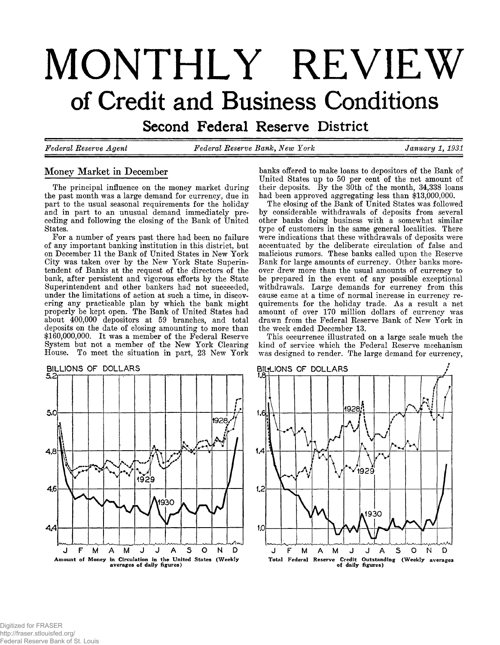# **MONTHLY REVIEW** of Credit and Business Conditions

**Second Federal Reserve District** 

*Federal Reserve Agent Federal Reserve Bank***,** *New York January 1, 1931*

# **Money Market in December**

**The principal influence on the money market during the past month was a large demand for currency, due in part to the usual seasonal requirements for the holiday and in part to an unusual demand immediately preceding and following the closing of the Bank of United States.**

**For a number of years past there had been no failure of any important banking institution in this district, but on December 11 the Bank of United States in New York City was taken over by the New York State Superintendent of Banks at the request of the directors of the bank, after persistent and vigorous efforts by the State Superintendent and other bankers had not succeeded, under the limitations of action at such a time, in discovering any practicable plan by which the bank might properly be kept open. The Bank of United States had about 400,000 depositors at 59 branches, and total deposits on the date of closing amounting to more than \$160,000,000. It was a member of the Federal Reserve System but not a member of the New York Clearing House. To meet the situation in part, 23 New York**



**banks offered to make loans to depositors of the Bank of United States up to 50 per cent of the net amount of their deposits. By the 30th of the month, 34,338 loans had been approved aggregating less than \$13,000,000.**

**The closing of the Bank of United States was followed by considerable withdrawals of deposits from several other banks doing business with a somewhat similar type of customers in the same general localities. There were indications that these withdrawals of deposits were accentuated by the deliberate circulation of false and malicious rumors. These banks called upon the Reserve Bank for large amounts of currency. Other banks moreover drew more than the usual amounts of currency to be prepared in the event of any possible exceptional withdrawals. Large demands for currency from this cause came at a time of normal increase in currency requirements for the holiday trade. As a result a net amount of over 170 million dollars of currency was drawn from the Federal Reserve Bank of New York in the week ended December 13.**

**This occurrence illustrated on a large scale much the kind of service which the Federal Reserve mechanism was designed to render. The large demand for currency,**

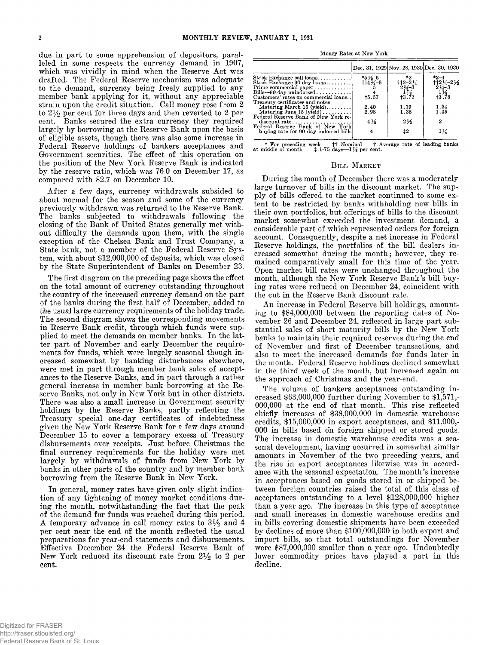**due in part to some apprehension of depositors, paralleled in some respects the currency demand in 1907, which was vividly in mind when the Reserve Act was drafted. The Federal Reserve mechanism was adequate to the demand, currency being freely supplied to any member bank applying for it, without any appreciable strain upon the credit situation. Call money rose from 2 to 2% per cent for three days and then reverted to 2 per cent. Banks secured the extra currency they required largely by borrowing at the Reserve Bank upon the basis of eligible assets, though there was also some increase in Federal Reserve holdings of bankers acceptances and Government securities. The effect of this operation on the position of the New York Reserve Bank is indicated by the reserve ratio, which was 76.0 on December 17, as compared with 82.7 on December 10.**

**After a few days, currency withdrawals subsided to about normal for the season and some of the currency previously withdrawn was returned to the Reserve Bank. The banks subjected to withdrawals following the closing of the Bank of United States generally met without difficulty the demands upon them, with the single exception of the Chelsea Bank and Trust Company, a State bank, not a member of the Federal Reserve System, with about \$12,000,000 of deposits, which was closed by the State Superintendent of Banks on December 23.**

**The first diagram on the preceding page shows the effect on the total amount of currency outstanding throughout the country of the increased currency demand on the part of the banks during the first half of December, added to the usual large currency requirements of the holiday trade. The second diagram shows the corresponding movements in Reserve Bank credit, through which funds were supplied to meet the demands on member banks. In the latter part of November and early December the requirements for funds, which were largely seasonal though increased somewhat by banking disturbances elsewhere, were met in part through member bank sales of acceptances to the Reserve Banks, and in part through a rather general increase in member bank borrowing at the Reserve Banks, not only in New York but in other districts. There was also a small increase in Government security holdings by the Reserve Banks, partly reflecting the Treasury special one-day certificates of indebtedness given the New York Reserve Bank for a few days around December 15 to cover a temporary excess of Treasury disbursements over receipts. Just before Christmas the final currency requirements for the holiday were met largely by withdrawals of funds from New York by banks in other parts of the country and by member bank borrowing from the Reserve Bank in New York.**

**In general, money rates have given only slight indication of any tightening of money market conditions during the month, notwithstanding the fact that the peak of the demand for funds was reached during this period. A temporary advance in call money rates to 3% and 4 per cent near the end of the month reflected the usual preparations for year-end statements and disbursements. Effective December 24 the Federal Reserve Bank of** New York reduced its discount rate from  $2\frac{1}{2}$  to 2 per **cent.**

| Money Rates at New York |  |  |  |
|-------------------------|--|--|--|
|-------------------------|--|--|--|

|                                       |                                             | Dec. 31, 1929 Nov. 28, 1930 Dec. 30, 1930                |                                                                                                                    |
|---------------------------------------|---------------------------------------------|----------------------------------------------------------|--------------------------------------------------------------------------------------------------------------------|
| Stock Exchange call loans             | *5 $\frac{1}{2}$ +6<br>††4 $\frac{3}{4}$ –5 | *2                                                       | $*2 - 1$                                                                                                           |
| Stock Exchange 90 day loans           |                                             | $^{+12-2}_{234-3}$<br>$^{174}_{174}$<br>$^{175}_{13.73}$ | $\begin{array}{l} \bar{1}^1_1 2 \bar{1}^1_4 - 2 \bar{1}^1_3 \ \bar{1}^1_3 \ \bar{1}^3_5 \ \bar{1}^3_5 \end{array}$ |
| Prime commercial paper                |                                             |                                                          |                                                                                                                    |
| Bills-90 day unindorsed               |                                             |                                                          |                                                                                                                    |
| Customers' rates on commercial loans  | 15.57                                       |                                                          |                                                                                                                    |
| Treasury certificates and notes       |                                             |                                                          |                                                                                                                    |
| Maturing March 15 (yield)             | 2.40                                        | 1.19                                                     | 1.34                                                                                                               |
| Maturing June 15 (yield)              | 2.98                                        | 1.35                                                     | 1.45                                                                                                               |
| Federal Reserve Bank of New York re-  |                                             |                                                          |                                                                                                                    |
| discount rate                         | $4\frac{1}{2}$                              | $2\frac{1}{2}$                                           | 2                                                                                                                  |
| Federal Reserve Bank of New York      |                                             |                                                          |                                                                                                                    |
| buying rate for 90 day indorsed bills | 4                                           | 12                                                       | $1\%$                                                                                                              |

**\* For preceding week ff Nominal t Average rate of leading banks at middle of month J 1-75 days— 1K per cent.**

#### **BILL MARKET**

**During the month of December there was a moderately large turnover of bills in the discount market. The supply of bills offered to the market continued to some extent to be restricted by banks withholding new bills in their own portfolios, but offerings of bills to the discount market somewhat exceeded the investment demand, a considerable part of which represented orders for foreign account. Consequently, despite a net increase in Federal Reserve holdings, the portfolios of the bill dealers increased somewhat during the month; however, they remained comparatively small for this time of the year. Open market bill rates were unchanged throughout the month, although the New York Reserve Bank's bill buying rates were reduced on December 24, coincident with the cut in the Reserve Bank discount rate.**

**An increase in Federal Reserve bill holdings, amounting to \$84,000,000 between the reporting dates of No**vember 26 and December 24, reflected in large part sub**stantial sales of short maturity bills by the New York banks to maintain their required reserves during the end of November and first of December transactions, and also to meet the increased demands for funds later in the month. Federal Reserve holdings declined somewhat in the third week of the month, but increased again on the approach of Christmas and the year-end.**

**The volume of bankers acceptances outstanding increased \$63,000,000 further during November to \$1,571,- 000,000 at the end of that month. This rise reflected chiefly increases of \$38,000,000 in domestic warehouse credits, \$15,000,000 in export acceptances, and \$11,000,- 000 in bills based on foreign shipped or stored goods. The increase in domestic warehouse credits was a seasonal development, having occurred in somewhat similar amounts in November of the two preceding years, and the rise in export acceptances likewise was in accordance with the seasonal expectation. The month's increase in acceptances based on goods stored in or shipped between foreign countries raised the total of this class of acceptances outstanding to a level \$128,000,000 higher than a year ago. The increase in this type of acceptance and small increases in domestic warehouse credits and in bills covering domestic shipments have been exceeded by declines of more than \$100,000,000 in both export and import bills, so that total outstandings for November were \$87,000,000 smaller than a year ago. Undoubtedly lower commodity prices have played a part in this decline.**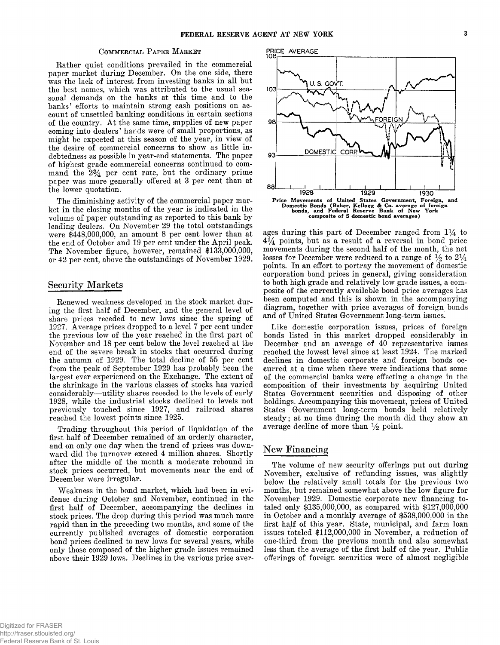#### COMMERCIAL PAPER MARKET

**Rather quiet conditions prevailed in the commercial paper market during December. On the one side, there was the lack of interest from investing banks in all but the best names, which was attributed to the usual seasonal demands on the banks at this time and to the banks' efforts to maintain strong cash positions on account of unsettled banking conditions in certain sections of the country. At the same time, supplies of new paper coming into dealers' hands were of small proportions, as might be expected at this season of the year, in view of the desire of commercial concerns to show as little indebtedness as possible in year-end statements. The paper of highest grade commercial concerns continued to command the** *2%* **per cent rate, but the ordinary prime paper was more generally offered at 3 per cent than at the lower quotation.**

**The diminishing activity of the commercial paper market in the closing months of the year is indicated in the volume of paper outstanding as reported to this bank by leading dealers. On November 29 the total outstandings were \$448,000,000, an amount 8 per cent lower than at the end of October and 19 per cent under the April peak. The November figure, however, remained \$133,000,000, or 42 per cent, above the outstandings of November 1929.**

# **Security Markets**

**Renewed weakness developed in the stock market during the first half of December, and the general level of share prices receded to new lows since the spring of 1927. Average prices dropped to a level 7 per cent under the previous low of the year reached in the first part of November and 18 per cent below the level reached at the end of the severe break in stocks that occurred during the autumn of 1929. The total decline of 55 per cent from the peak of September 1929 has probably been the largest ever experienced on the Exchange. The extent of the shrinkage in the various classes of stocks has varied considerably— utility shares receded to the levels of early 1928, while the industrial stocks declined to levels not previously touched since 1927, and railroad shares reached the lowest points since 1925.**

**Trading throughout this period of liquidation of the first half of December remained of an orderly character, and on only one day when the trend of prices was downward did the turnover exceed 4 million shares. Shortly after the middle of the month a moderate rebound in stock prices occurred, but movements near the end of December were irregular.**

**Weakness in the bond market, which had been in evidence during October and November, continued in the first half of December, accompanying the declines in stock prices. The drop during this period was much more rapid than in the preceding two months, and some of the currently published averages of domestic corporation bond prices declined to new lows for several years, while only those composed of the higher grade issues remained above their 1929 lows. Declines in the various price aver-**



**ages during this part of December ranged from 1***%* **to 4 points, but as a result of a reversal in bond price movements during the second half of the month, the net** losses for December were reduced to a range of  $\frac{1}{2}$  to  $\frac{21}{4}$ **points. In an effort to portray the movement of domestic corporation bond prices in general, giving consideration to both high grade and relatively low grade issues, a composite of the currently available bond price averages has been computed and this is shown in the accompanying diagram, together with price averages of foreign bonds and of United States Government long-term issues.**

**Like domestic corporation issues, prices of foreign bonds listed in this market dropped considerably in December and an average of 40 representative issues reached the lowest level since at least 1924. The marked declines in domestic corporate and foreign bonds occurred at a time when there were indications that some of the commercial banks were effecting a change in the composition of their investments by acquiring United States Government securities and disposing of other holdings. Accompanying this movement, prices of United States Government long-term bonds held relatively steady; at no time during the month did they show an average decline of more than** *y2* **point.**

# **New Financing**

**The volume of new security offerings put out during November, exclusive of refunding issues, was slightly below the relatively small totals for the previous two months, but remained somewhat above the low figure for November 1929. Domestic corporate new financing totaled only \$135,000,000, as compared with \$127,000,000 in October and a monthly average of \$538,000,000 in the first half of this year. State, municipal, and farm loan issues totaled \$112,000,000 in November, a reduction of one-third from the previous month and also somewhat less than the average of the first half of the year. Public offerings of foreign securities were of almost negligible**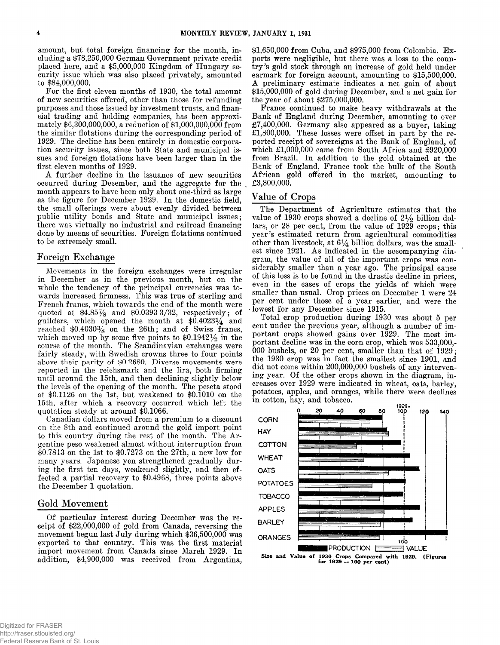**amount, but total foreign financing for the month, including a \$78,250,000 German Government private credit placed here, and a \$5,000,000 Kingdom of Hungary security issue which was also placed privately, amounted to \$84,000,000.**

**For the first eleven months of 1930, the total amount of new securities offered, other than those for refunding purposes and those issued by investment trusts, and financial trading and holding companies, has been approximately \$6,300,000,000, a reduction of \$1,000,000,000 from the similar flotations during the corresponding period of 1929. The decline has been entirely in domestic corporation security issues, since both State and municipal issues and foreign flotations have been larger than in the first eleven months of 1929.**

**A further decline in the issuance of new securities occurred during December, and the aggregate for the month appears to have been only about one-third as large as the figure for December 1929. In the domestic field, the small offerings were about evenly divided between public utility bonds and State and municipal issues; there was virtually no industrial and railroad financing done by means of securities. Foreign flotations continued to be extremely small.**

# **Foreign Exchange**

**Movements in the foreign exchanges were irregular in December as in the previous month, but on the** whole the tendency of the principal currencies was to**wards increased firmness. This was true of sterling and French francs, which towards the end of the month were quoted at \$4.85% and \$0.0393 3/32, respectively; of guilders, which opened the month at \$0.4023^4 and reached \$0.4030% on the 26th; and of Swiss francs,** which moved up by some five points to  $$0.1942\frac{1}{2}$  in the **course of the month. The Scandinavian exchanges were fairly steady, with Swedish crowns three to four points above their parity of \$0.2680. Diverse movements were reported in the reichsmark and the lira, both firming until around the 15th, and then declining slightly below the levels of the opening of the month. The peseta stood at \$0.1126 on the 1st, but weakened to \$0.1010 on the 15th, after which a recovery occurred which left the quotation steady at around \$0.1066.**

**Canadian dollars moved from a premium to a discount on the 8th and continued around the gold import point to this country during the rest of the month. The Argentine peso weakened almost without interruption from \$0.7813 on the 1st to \$0.7273 on the 27th, a new low for many years. Japanese yen strengthened gradually during the first ten days, weakened slightly, and then effected a partial recovery to \$0.4968, three points above the December 1 quotation.**

# Gold Movement

**Of particular interest during December was the receipt of \$22,000,000 of gold from Canada, reversing the movement begun last July during which \$36,500,000 was exported to that country. This was the first material import movement from Canada since March 1929. In addition, \$4,900,000 was received from Argentina,**

**\$1,650,000 from Cuba, and \$975,000 from Colombia. Exports were negligible, but there was a loss to the country's gold stock through an increase of gold held under earmark for foreign account, amounting to \$15,500,000. A preliminary estimate indicates a net gain of about \$15,000,000 of gold during December, and a net gain for the year of about \$275,000,000.**

**France continued to make heavy withdrawals at the Bank of England during December, amounting to over £7,400,000. Germany also appeared as a buyer, taking £1,800,000. These losses were offset in part by the reported receipt of sovereigns at the Bank of England, of which £1,000,000 came from South Africa and £920,000 from Brazil. In addition to the gold obtained at the Bank of England, France took the bulk of the South African gold offered in the market, amounting to £3,800,000.**

# **Value of Crops**

**The Department of Agriculture estimates that the** value of 1930 crops showed a decline of  $2\frac{1}{2}$  billion dol**lars, or 28 per cent, from the value of 1929 crops; this year's estimated return from agricultural commodities** other than livestock, at  $6\frac{1}{4}$  billion dollars, was the small**est since 1921. As indicated in the accompanying diagram, the value of all of the important crops was considerably smaller than a year ago. The principal cause of this loss is to be found in the drastic decline in prices, even in the cases of crops the yields of which were smaller than usual. Crop prices on December 1 were 24 per cent under those of a year earlier, and were the - lowest for any December since 1915.**

**Total crop production during 1930 was about 5 per cent under the previous year, although a number of important crops showed gains over 1929. The most important decline was in the corn crop, which was 533,000,- 000 bushels, or 20 per cent, smaller than that of 1929; the 1930 crop was in fact the smallest since 1901, and did not come within 200,000,000 bushels of any intervening year. Of the other crops shown in the diagram, increases over 1929 were indicated in wheat, oats, barley, potatoes, apples, and oranges, while there were declines in cotton, hay, and tobacco.**



Size and Value of 1930 Crops Compared with 1929. (Figures for  $1929 = 100$  per cent)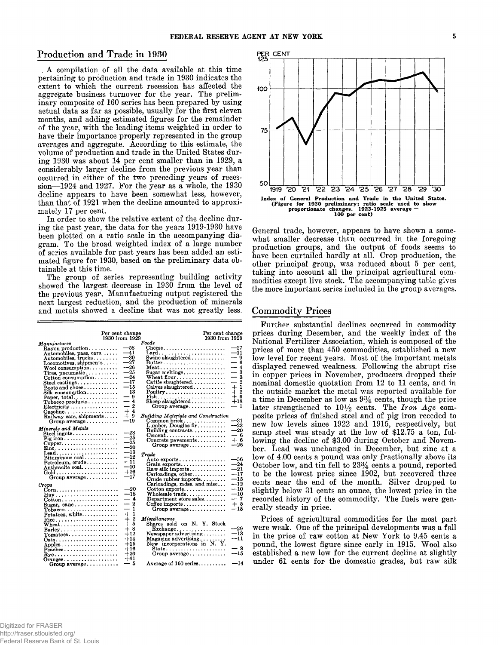# Production and Trade in 1930

**A compilation of all the data available at this time pertaining to production and trade in 1930 indicates the extent to which the current recession has affected the aggregate business turnover for the year. The preliminary composite of 160 series has been prepared by using actual data as far as possible, usually for the first eleven months, and adding estimated figures for the remainder** of the year, with the leading items weighted in order to **have their importance properly represented in the group averages and aggregate. According to this estimate, the volume of production and trade in the United States during 1930 was about 14 per cent smaller than in 1929, a considerably larger decline from the previous year than occurred in either of the two preceding years of recession— 1924 and 1927. For the year as a whole, the 1930 decline appears to have been somewhat less, however, than that of 1921 when the decline amounted to approximately 17 per cent.**

**In order to show the relative extent of the decline during the past year, the data for the years 1919-1930 have been plotted on a ratio scale in the accompanying diagram. To the broad weighted index of a large number of series available for past years has been added an estimated figure for 1930, based on the preliminary data obtainable at this time.**

**The group of series representing building activity showed the largest decrease in 1930 from the level of the previous year. Manufacturing output registered the next largest reduction, and the production of minerals and metals showed a decline that was not greatly less.**

| Per cent change<br>1930 from 1929                     |       | Per cent change<br>1930 from 1929                             |                                 |
|-------------------------------------------------------|-------|---------------------------------------------------------------|---------------------------------|
| <i>Manufactures</i>                                   |       | Foods                                                         |                                 |
| $\mathbb{R}$ avon production                          | $-58$ | $\text{Cheese}\ldots\ldots\ldots\ldots\ldots\ldots\ldots$     | $-27$                           |
| Automobiles, pass. cars                               | $-41$ |                                                               | $-11$                           |
| Automobiles. trucks                                   | —30   | Swine slaughtered                                             | $-9$                            |
| Locomotives, shipments                                | $-27$ |                                                               | — 6                             |
| $W$ ool consumption                                   | $-26$ | $\text{Meat} \dots \dots \dots \dots \dots \dots \dots \dots$ | —<br>$\overline{4}$             |
| Tires, pneumatic                                      | $-25$ |                                                               | $-3$                            |
| $\text{Cotten consumption} \dots \dots$               | $-24$ | Wheat flour                                                   | $\overline{\phantom{0}}$<br>- 3 |
| Steel castings                                        | $-17$ | Cattle slaughtered                                            | $\overline{2}$<br>--            |
| Boots and shoes                                       | $-15$ | $Calves slaughtered$                                          | $+1$                            |
| $Silk$ consumption                                    | —13   | $\text{Poultry}\dots\dots\dots\dots\dots\dots\dots$           | $+2$                            |
|                                                       | — 9   |                                                               | $+6$                            |
| $\Gamma$ obacco products                              | $-4$  | Sheep slaughtered                                             | $+18$                           |
| Electricity                                           | $-2$  |                                                               | — 1                             |
| Gasoline                                              | $+4$  |                                                               |                                 |
| Railway cars, shipments                               | $+9$  | Building Materials and Construction                           | -31                             |
| Group average                                         | —19   | Common brick                                                  | -<br>$-23$                      |
| Minerals and Metals                                   |       | Lumber, Douglas fir<br>Building contracts                     | $^{-20}$                        |
| Steel ingots                                          | $-28$ | $Cement \dots \dots \dots \dots \dots \dots \dots$            | — 6                             |
| $\text{Fig iron} \dots \dots \dots \dots \dots \dots$ | $-25$ | Concrete payements                                            | $+6$                            |
| $Copper$                                              | $-25$ | Group $average \ldots \ldots \ldots$                          | --26                            |
|                                                       | $-20$ |                                                               |                                 |
| Lead                                                  | $-13$ | Trade                                                         |                                 |
|                                                       | $-12$ | Auto $\mathtt{exports} \dots \dots \dots \dots \dots$         | --56                            |
| $Petroleum, crude \ldots \ldots$                      | $-11$ | Grain exports                                                 | $-24$                           |
| Anthracite coal                                       | $-10$ | $\texttt{Raw}$ silk imports                                   | $-21$                           |
| Gold                                                  | $+26$ | $Carloadings, other \ldots$                                   | $-17$                           |
| Group average                                         | $-17$ | Crude rubber imports                                          | $-15$                           |
| Crops                                                 |       | Carloadings, mdse. and misc                                   | $-12$                           |
| Corn                                                  | $-20$ | $\text{Cottom}$ exports                                       | ---10                           |
| Hay                                                   | $-18$ | Wholesale trade                                               | $-10$                           |
|                                                       | — 4   | Department store sales                                        | $-7$                            |
| Sugar, cane                                           | $-2$  | $Cofiee$ imports                                              | $+5$                            |
| $To \overline{b}$ acco                                | $-1$  | Group $average \ldots \ldots \ldots$                          | $-15$                           |
| Potatoes, white                                       | $+1$  |                                                               |                                 |
| $Rice$                                                | $+2$  | $M$ iscellaneous                                              |                                 |
| $W$ heat                                              | $+5$  | Shares sold on N. Y. Stock                                    |                                 |
| Barley                                                | $+8$  | $\textbf{Exchange} \dots \dots \dots \dots \dots$             | $-29$                           |
| $Tomatoes \ldots \ldots \ldots \ldots \ldots$         | $+12$ | Newspaper advertising                                         | $-13$                           |
|                                                       | $+14$ | $\rm\,Magazine$ advertising $\ldots \ldots \ldots$            | $-11$                           |
| Apples                                                | $+15$ | New incorporations in N.Y.                                    |                                 |
| $P$ eaches                                            | $+16$ |                                                               | - 8                             |
|                                                       | $+20$ | Group $average \ldots \ldots \ldots$                          | --15                            |
| Oranges                                               | $+41$ |                                                               |                                 |
| Group average                                         | — 5   | Average of $160$ series                                       | $-14$                           |



**General trade, however, appears to have shown a somewhat smaller decrease than occurred in the foregoing production groups, and the output of foods seems to have been curtailed hardly at all. Crop production, the other principal group, was reduced about 5 per cent, taking into account all the principal agricultural commodities except live stock. The accompanying table gives the more important series included in the group averages.**

# **Commodity Prices**

**Further substantial declines occurred in commodity prices during December, and the weekly index of the National Fertilizer Association, which is composed of the prices of more than 450 commodities, established a new low level for recent years. Most of the important metals displayed renewed weakness. Following the abrupt rise in copper prices in November, producers dropped their nominal domestic quotation from 12 to 11 cents, and in the outside market the metal was reported available for a time in December as low as 9% cents, though the price** later strengthened to  $10\frac{1}{2}$  cents. The *Iron Age* com**posite prices of finished steel and of pig iron receded to new low levels since 1922 and 1915, respectively, but scrap steel was steady at the low of \$12.75 a ton, following the decline of \$3.00 during October and November. Lead was unchanged in December, but zinc at a low of 4.00 cents a pound was only fractionally above its October low, and tin fell to 23% cents a pound, reported to be the lowest price since 1902, but recovered three cents near the end of the month. Silver dropped to slightly below 31 cents an ounce, the lowest price in the recorded history of the commodity. The fuels were generally steady in price.**

**Prices of agricultural commodities for the most part were weak. One of the principal developments was a fall in the price of raw cotton at New York to 9.45 cents a pound, the lowest figure since early in 1915. Wool also established a new low for the current decline at slightly under 61 cents for the domestic grades, but raw silk**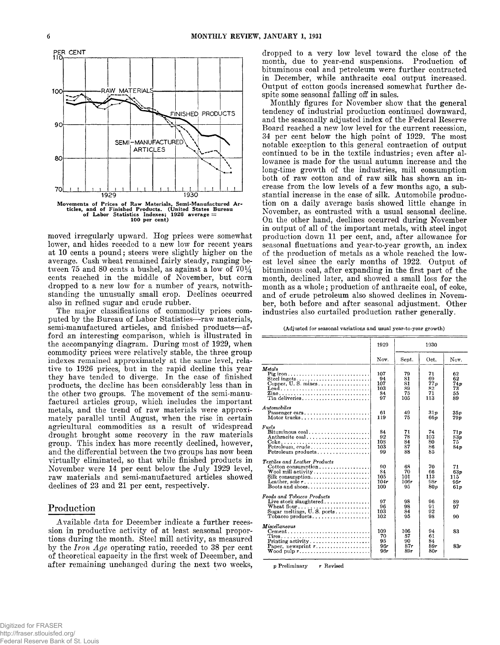

**moved irregularly upward. Hog prices were somewhat lower, and hides receded to a new low for recent years at 10 cents a pound; steers were slightly higher on the average. Cash wheat remained fairly steady, ranging be**tween 75 and 80 cents a bushel, as against a low of  $70\frac{1}{4}$ **cents reached in the middle of November, but corn dropped to a new low for a number of years, notwithstanding the unusually small crop. Declines occurred also in refined sugar and crude rubber.**

**The major classifications of commodity prices computed by the Bureau of Labor Statistics— raw materials,** semi-manufactured articles, and finished products-af**ford an interesting comparison, which is illustrated in the accompanying diagram. During most of 1929, when commodity prices were relatively stable, the three group indexes remained approximately at the same level, relative to 1926 prices, but in the rapid decline this year they have tended to diverge. In the case of finished products, the decline has been considerably less than in the other two groups. The movement of the semi-manufactured articles group, which includes the important metals, and the trend of raw materials were approximately parallel until August, when the rise in certain agricultural commodities as a result of widespread drought brought some recovery in the raw materials group. This index has more recently declined, however, and the differential between the two groups has now been virtually eliminated, so that while finished products in November were 14 per cent below the July 1929 level, raw materials and semi-manufactured articles showed declines of 23 and 21 per cent, respectively.**

# **Production**

**Available data for December indicate a further recession in productive activity of at least seasonal proportions during the month. Steel mill activity, as measured by the** *Iron A ge* **operating ratio, receded to 38 per cent of theoretical capacity in the first week of December, and after remaining unchanged during the next two weeks,**

**dropped to a very low level toward the close of the month, due to year-end suspensions. Production of bituminous coal and petroleum were further contracted in December, while anthracite coal output increased. Output of cotton goods increased somewhat further despite some seasonal falling off in sales.**

**Monthly figures for November show that the general tendency of industrial production continued downward, and the seasonally adjusted index of the Federal Eeserve Board reached a new low level for the current recession, 34 per cent below the high point of 1929. The most notable exception to this general contraction of output continued to be in the textile industries; even after allowance is made for the usual autumn increase and the long-time growth of the industries, mill consumption both of raw cotton and of raw silk has shown an increase from the low levels of a few months ago, a substantial increase in the case of silk. Automobile production on a daily average basis showed little change in November, as contrasted with a usual seasonal decline. On the other hand, declines occurred during November in output of all of the important metals, with steel ingot production down 11 per cent, and, after allowance for seasonal fluctuations and year-to-year growth, an index of the production of metals as a whole reached the lowest level since the early months of 1922. Output of bituminous coal, after expanding in the first part of the month, declined later, and showed a small loss for the month as a whole; production of anthracite coal, of coke, and of crude petroleum also showed declines in November, both before and after seasonal adjustment. Other industries also curtailed production rather generally.**

|  |  | (Adjusted for seasonal variations and usual year-to-year growth) |
|--|--|------------------------------------------------------------------|
|--|--|------------------------------------------------------------------|

|                                                                                                                                                                                                                                      | 1929                                |                                   | 1930                               |                                      |
|--------------------------------------------------------------------------------------------------------------------------------------------------------------------------------------------------------------------------------------|-------------------------------------|-----------------------------------|------------------------------------|--------------------------------------|
|                                                                                                                                                                                                                                      | Nov.                                | Sept.                             | Oct.                               | Nov.                                 |
| Metals<br>Pig iron<br>Lead<br>Tin deliveries                                                                                                                                                                                         | 107<br>94<br>107<br>103<br>84<br>97 | 79<br>81<br>81<br>89<br>75<br>105 | 71<br>69<br>77p<br>82<br>71<br>113 | 62<br>62<br>74p<br>73<br>55<br>89    |
| Automobiles<br>Passenger cars<br>Motor trucks                                                                                                                                                                                        | 61<br>119                           | 49<br>75                          | 31p<br>66p                         | 35p<br>79 p                          |
| Fuels<br>Bituminous $\text{coal.}\ldots\ldots\ldots\ldots\ldots\ldots$<br>Anthracite coal<br>$Petroleum, crude \ldots \ldots \ldots \ldots \ldots$<br>$Petroleum products, , , , ,$                                                  | 84<br>92<br>108<br>103<br>99        | 71<br>78<br>84<br>87<br>88        | 74<br>103<br>80<br>86<br>85        | 71p<br>83n<br>75.<br>84 <sub>p</sub> |
| <b>Textiles and Leather Products</b><br>Cotton consumption<br>Wool mill activity $\dots \dots \dots \dots \dots \dots$<br>Silk consumption<br>Leather, sole $r_1, \ldots, \ldots, \ldots, \ldots, \ldots, \ldots$<br>Boots and shoes | 90<br>84<br>105<br>104r<br>100      | 68<br>70<br>101<br>106r<br>95     | 70<br>66<br>113<br>98r<br>80 v     | 71<br>63n<br>115<br>95r<br>61p       |
| Foods and Tobacco Products<br>Live stock slaughtered<br>Wheat flour<br>Sugar meltings, $U.S.$ ports<br>$\text{Tobacco products} \dots \dots \dots \dots \dots \dots$                                                                 | 97<br>96<br>103<br>102              | 98<br>98<br>84<br>95              | 96<br>91<br>92<br>98               | 89<br>97<br>90                       |
| Miscellaneous<br>$Cement \dots \dots \dots \dots \dots \dots \dots \dots \dots \dots \dots$<br>Paper, newsprint $r$<br>Wood pulp $r_1, \ldots, r_k, \ldots, r_k, \ldots, r_k$                                                        | 109<br>70<br>95<br>96r<br>96r       | 106<br>57<br>90<br>87r<br>89r     | 94<br>61<br>84<br>89r<br>80r       | 83<br>83r                            |

p Preliminary **r** Revised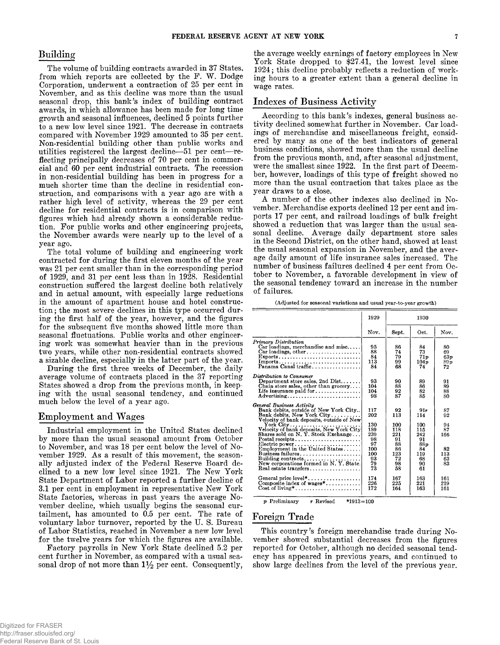**The volume of building contracts awarded in 37 States,** from which reports are collected by the F. W. Dodge **Corporation, underwent a contraction of 25 per cent in November, and as this decline was more than the usual seasonal drop, this bank's index of building contract awards, in which allowance has been made for long time growth and seasonal influences, declined 5 points further to a new low level since 1921. The decrease in contracts compared with November 1929 amounted to 35 per cent. Non-residential building other than public works and utilities registered the largest decline— 51 per cent— reflecting principally decreases of 70 per cent in commercial and 60 per cent industrial contracts. The recession in non-residential building has been in progress for a much shorter time than the decline in residential construction, and comparisons with a year ago are with a rather high level of activity, whereas the 29 per cent decline for residential contracts is in comparison with figures which had already shown a considerable reduction. For public works and other engineering projects, the November awards were nearly up to the level of a year ago.**

**The total volume of building and engineering work contracted for during the first eleven months of the year was 21 per cent smaller than in the corresponding period of 1929, and 31 per cent less than in 1928. Residential construction suffered the largest decline both relatively and in actual amount, with especially large reductions in the amount of apartment house and hotel construction ; the most severe declines in this type occurred during the first half of the year, however, and the figures for the subsequent five months showed little more than seasonal fluctuations. Public works and other engineering work was somewhat heavier than in the previous two years, while other non-residential contracts showed a sizable decline, especially in the latter part of the year.**

**During the first three weeks of December, the daily average volume of contracts placed in the 37 reporting States showed a drop from the previous month, in keeping with the usual seasonal tendency, and continued much below the level of a year ago.**

# **Employment and Wages**

**Industrial employment in the United States declined by more than the usual seasonal amount from October to November, and was 18 per cent below the level of November 1929. As a result of this movement, the seasonally adjusted index of the Federal Reserve Board declined to a new low level since 1921. The New York State Department of Labor reported a further decline of 3.1 per cent in employment in representative New York State factories, whereas in past years the average November decline, which usually begins the seasonal curtailment, has amounted to 0.5 per cent. The rate of voluntary labor turnover, reported by the U. S. Bureau of Labor Statistics, reached in November a new low level for the twelve years for which the figures are available.**

**Factory payrolls in New York State declined 5.2 per cent further in November, as compared with a usual sea**sonal drop of not more than  $1\frac{1}{2}$  per cent. Consequently,

**Building the average weekly earnings of factory employees in New York State dropped to \$27.41, the lowest level since 1924; this decline probably reflects a reduction of working hours to a greater extent than a general decline in wage rates.**

# **Indexes of Business Activity**

**According to this bank's indexes, general business activity declined somewhat further in November. Car loadings of merchandise and miscellaneous freight, considered by many as one of the best indicators of general business conditions, showed more than the usual decline from the previous month, and, after seasonal adjustment, were the smallest since 1922. In the first part of December, however, loadings of this type of freight showed no more than the usual contraction that takes place as the year draws to a close.**

**A number of the other indexes also declined in November. Merchandise exports declined 12 per cent and imports 17 per cent, and railroad loadings of bulk freight showed a reduction that was larger than the usual seasonal decline. Average daily department store sales in the Second District, on the other hand, showed at least the usual seasonal expansion in November, and the average daily amount of life insurance sales increased. The number of business failures declined 4 per cent from October to November, a favorable development in view of the seasonal tendency toward an increase in the number of failures.**

**(Adjusted for seasonal variations and usual year-to-year growth)**

|                                                                                                                                                                                                                                                                                                                                                                                                          | 1929                                                                        |                                                                           | 1930                                                                        |                                                      |
|----------------------------------------------------------------------------------------------------------------------------------------------------------------------------------------------------------------------------------------------------------------------------------------------------------------------------------------------------------------------------------------------------------|-----------------------------------------------------------------------------|---------------------------------------------------------------------------|-----------------------------------------------------------------------------|------------------------------------------------------|
|                                                                                                                                                                                                                                                                                                                                                                                                          | Nov.                                                                        | Sept.                                                                     | Oct.                                                                        | Nov.                                                 |
| Primary Distribution<br>$Car$ loadings, merchandise and misc<br>$Car$ loadings, other<br>$\text{Express } \dots \dots \dots \dots \dots \dots \dots \dots \dots \dots$<br>Panama Canal traffic                                                                                                                                                                                                           | 95<br>88<br>84<br>113<br>84                                                 | 86<br>74<br>79<br>99<br>68                                                | 84<br>73<br>71p<br>104p<br>74                                               | 80<br>69.<br>63p<br>89p<br>72                        |
| Distribution to Consumer<br>Department store sales, 2nd $Dist$<br>Chain store sales, other than grocery<br>Life insurance paid for<br>Advertising                                                                                                                                                                                                                                                        | 93<br>104<br>104<br>98                                                      | 90<br>88<br>92<br>87                                                      | 89<br>86<br>82<br>85                                                        | 91<br>89<br>88<br>80                                 |
| General Business Activity<br>Bank debits, outside of New York City<br>Bank debits, New York City<br>Velocity of bank deposits, outside of New<br>Shares sold on N.Y. Stock Exchange<br>$\text{Postal}\text{ receives}\dots\dots\dots\dots\dots\dots\dots\dots$<br>Electric power<br>Employment in the United States<br>Business failures<br>Building contracts<br>New corporations formed in N.Y. State. | 117<br>202<br>130<br>189<br>239<br>98<br>97<br>100<br>100<br>93<br>79<br>73 | 92<br>113<br>100<br>118<br>221<br>91<br>88<br>86<br>123<br>72<br>98<br>58 | 91r<br>114<br>100<br>115<br>242<br>91<br>88p<br>84<br>119<br>68<br>90<br>61 | 87<br>92<br>94<br>87<br>166<br>82<br>113<br>63<br>83 |
| General price level*<br>Composite index of $wages^*$<br>$Cost of living^*, \ldots, \ldots, \ldots, \ldots, \ldots$                                                                                                                                                                                                                                                                                       | 174<br>226<br>172                                                           | 167<br>225<br>164                                                         | 163<br>221<br>163                                                           | 161<br>219<br>161                                    |

**p Preliminary r Revised \*1913=100**

# **Foreign Trade**

**This country's foreign merchandise trade during November showed substantial decreases from the figures reported for October, although no decided seasonal tendency has appeared in previous years, and continued to show large declines from the level of the previous year.**